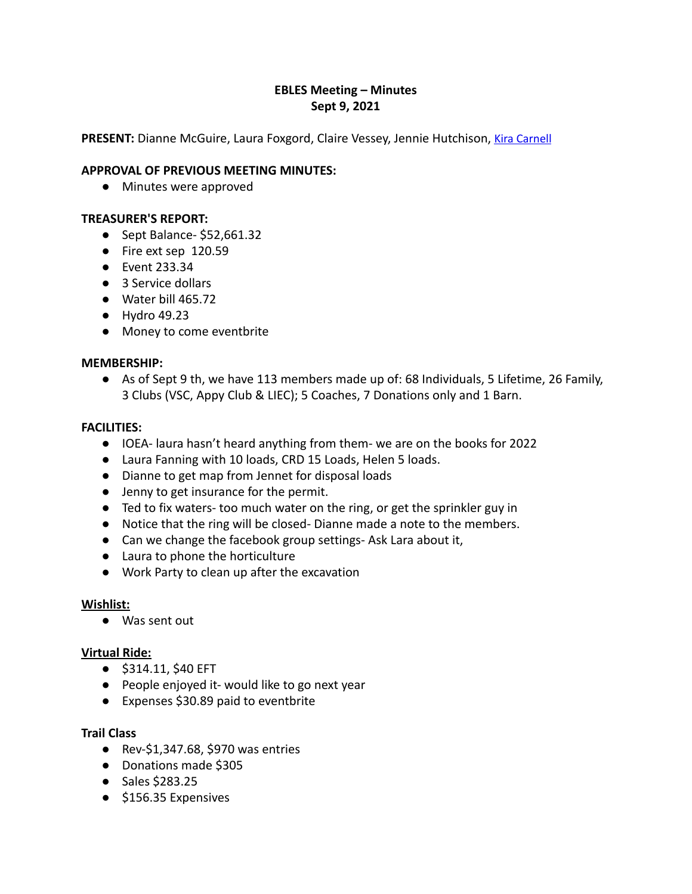# **EBLES Meeting – Minutes Sept 9, 2021**

**PRESENT:** Dianne McGuire, Laura Foxgord, Claire Vessey, Jennie Hutchison, Kira [Carnell](mailto:carnellkira@gmail.com)

## **APPROVAL OF PREVIOUS MEETING MINUTES:**

**●** Minutes were approved

## **TREASURER'S REPORT:**

- Sept Balance- \$52,661.32
- Fire ext sep 120.59
- Event 233.34
- 3 Service dollars
- Water bill 465.72
- Hydro 49.23
- Money to come eventbrite

## **MEMBERSHIP:**

● As of Sept 9 th, we have 113 members made up of: 68 Individuals, 5 Lifetime, 26 Family, 3 Clubs (VSC, Appy Club & LIEC); 5 Coaches, 7 Donations only and 1 Barn.

#### **FACILITIES:**

- IOEA- laura hasn't heard anything from them- we are on the books for 2022
- Laura Fanning with 10 loads, CRD 15 Loads, Helen 5 loads.
- Dianne to get map from Jennet for disposal loads
- Jenny to get insurance for the permit.
- Ted to fix waters- too much water on the ring, or get the sprinkler guy in
- Notice that the ring will be closed- Dianne made a note to the members.
- Can we change the facebook group settings- Ask Lara about it,
- Laura to phone the horticulture
- Work Party to clean up after the excavation

## **Wishlist:**

● Was sent out

## **Virtual Ride:**

- \$314.11, \$40 EFT
- People enjoyed it- would like to go next year
- Expenses \$30.89 paid to eventbrite

## **Trail Class**

- Rev-\$1,347.68, \$970 was entries
- Donations made \$305
- Sales \$283.25
- \$156.35 Expensives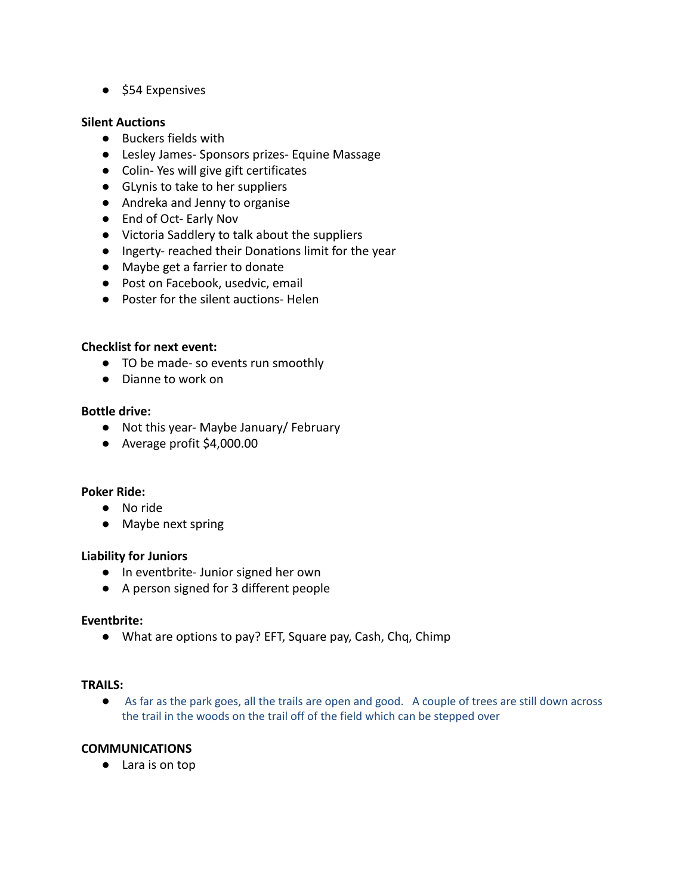● \$54 Expensives

#### **Silent Auctions**

- Buckers fields with
- Lesley James- Sponsors prizes- Equine Massage
- Colin- Yes will give gift certificates
- GLynis to take to her suppliers
- Andreka and Jenny to organise
- End of Oct- Early Nov
- Victoria Saddlery to talk about the suppliers
- Ingerty- reached their Donations limit for the year
- Maybe get a farrier to donate
- Post on Facebook, usedvic, email
- Poster for the silent auctions- Helen

## **Checklist for next event:**

- TO be made- so events run smoothly
- Dianne to work on

#### **Bottle drive:**

- Not this year- Maybe January/ February
- Average profit \$4,000.00

## **Poker Ride:**

- No ride
- Maybe next spring

## **Liability for Juniors**

- In eventbrite- Junior signed her own
- A person signed for 3 different people

#### **Eventbrite:**

● What are options to pay? EFT, Square pay, Cash, Chq, Chimp

#### **TRAILS:**

● As far as the park goes, all the trails are open and good. A couple of trees are still down across the trail in the woods on the trail off of the field which can be stepped over

# **COMMUNICATIONS**

● Lara is on top